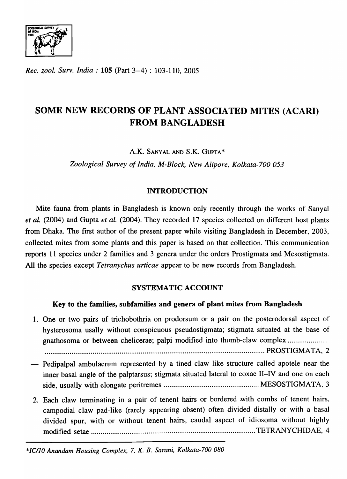

*Rec. zool. Surv. India:* 105 (Part 3-4): 103-110, 2005

# SOME NEW RECORDS OF PLANT ASSOCIATED MITES (ACARI) FROM BANGLADESH

A.K. SANYAL AND S.K. GUPTA\*

*Zoological Survey of India, M-Block, New Alipore, Kolkata-700 053* 

# INTRODUCTION

Mite fauna from plants in Bangladesh is known only recently through the works of Sanyal *et al.* (2004) and Gupta *et al.* (2004). They recorded 17 species collected on different host plants from Dhaka. The first author of the present paper while visiting Bangladesh in December, 2003, collected mites from some plants and this paper is based on that collection. This communication reports 11 species under 2 families and 3 genera under the orders Prostigmata and Mesostigmata. All the species except *Tetranychus urticae* appear to be new records from Bangladesh.

# SYSTEMATIC ACCOUNT

# Key to the families, subfamilies and genera of plant mites from Bangladesh

- 1. One or two pairs of trichobothria on prodorsum or a pair on the posterodorsal aspect of hysterosoma usally without conspicuous pseudostigmata; stigmata situated at the base of gnathosoma or between chelicerae; palpi modified into thumb-claw complex ..................... ................................................................................................................... PROSTIGMATA, 2
- Pedipalpal ambulacrum represented by a tined claw like structure called apotele near the inner basal angle of the palptarsus; stigmata situated lateral to coxae II-IV and one on each side, usually with elongate peritremes .................................................. MESOSTIGMA T A, 3
- 2. Each claw terminating in a pair of tenent hairs or bordered with combs of tenent hairs, campodial claw pad-like (rarely appearing absent) often divided distally or with a basal divided spur, with or without tenent hairs, caudal aspect of idiosoma without highly modified setae ...................................................................................... TETRANYCHIDAE, 4

*\*ICI]O Anandam Housing Complex,* 7, *K. B. Sarani, Kolkata-700 080*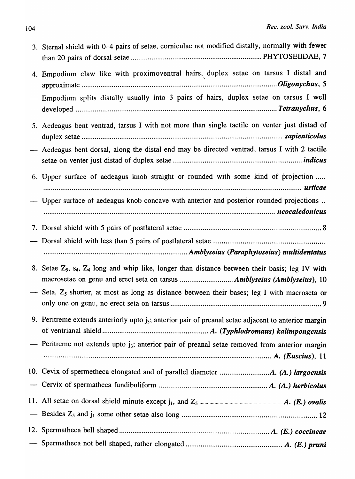| 3. Sternal shield with 0–4 pairs of setae, corniculae not modified distally, normally with fewer         |
|----------------------------------------------------------------------------------------------------------|
| 4. Empodium claw like with proximoventral hairs, duplex setae on tarsus I distal and                     |
| - Empodium splits distally usually into 3 pairs of hairs, duplex setae on tarsus I well                  |
| 5. Aedeagus bent ventrad, tarsus I with not more than single tactile on venter just distad of            |
| - Aedeagus bent dorsal, along the distal end may be directed ventrad, tarsus I with 2 tactile            |
| 6. Upper surface of aedeagus knob straight or rounded with some kind of projection                       |
| - Upper surface of aedeagus knob concave with anterior and posterior rounded projections                 |
|                                                                                                          |
|                                                                                                          |
|                                                                                                          |
|                                                                                                          |
| 8. Setae $Z_5$ , $S_4$ , $Z_4$ long and whip like, longer than distance between their basis; leg IV with |
| - Seta, $Z_5$ shorter, at most as long as distance between their bases; leg I with macroseta or          |
| 9. Peritreme extends anteriorly upto $j_3$ ; anterior pair of preanal setae adjacent to anterior margin  |
| — Peritreme not extends upto $j_3$ ; anterior pair of preanal setae removed from anterior margin         |
|                                                                                                          |
|                                                                                                          |
|                                                                                                          |
|                                                                                                          |
|                                                                                                          |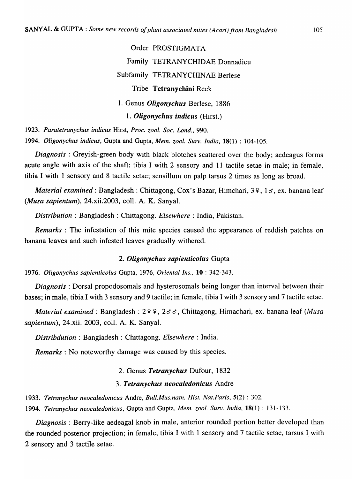Order PROSTIGMATA Family TETRANYCHIDAE Donnadieu Subfamily TETRANYCHINAE Berlese Tribe Tetranychini Reck 1. Genus *Oligonychus* Berlese, 1886 *1. Oligonychus indicus* (Hirst.)

*1923. Paratetranychus indicus* Hirst, *Proc. zool. Soc. Lond., 990.* 

*1994. Oligonychus indicus,* Gupta and Gupta, *Mem. zool. Surv. India,* 18(1) : 104-105.

*Diagnosis:* Greyish-green body with black blotches scattered over the body; aedeagus forms acute angle with axis of the shaft; tibia I with 2 sensory and 11 tactile setae in male; in female, tibia I with 1 sensory and 8 tactile setae; sensillum on palp tarsus 2 times as long as broad.

*Material examined: Bangladesh: Chittagong, Cox's Bazar, Himchari, 39, 16, ex. banana leaf (Musa sapientum),* 24.xii.2003, colI. A. K. Sanyal.

*Distribution:* Bangladesh: Chittagong. *Elsewhere:* India, Pakistan.

*Remarks* : The infestation of this mite species caused the appearance of reddish patches on banana leaves and such infested leaves gradually withered.

#### *2. Oligonychus sapienticolus* Gupta

*1976. Oligonychus sapienticolus* Gupta, 1976, *Oriental Ins.,* 10 : 342-343.

*Diagnosis:* Dorsal propodosomals and hysterosomals being longer than interval between their bases; in male, tibia I with 3 sensory and 9 tactile; in female, tibia I with 3 sensory and 7 tactile setae.

*Material examined: Bangladesh: 2 º º, 2 o o, Chittagong, Himachari, ex. banana leaf <i>(Musa sapientum),* 24.xii. 2003, colI. A. K. Sanyal.

*Distribdution* : Bangladesh: Chittagong. *Elsewhere:* India.

*Remarks:* No noteworthy damage was caused by this species.

#### 2. Genus *Tetranychus* Dufour, 1832

#### *3. Tetranychus neocaledonicus* Andre

*1933. Tetranychus neocaledonicus* Andre, *Bull. Mus. natn. Hist. Nat.Paris,* 5(2) : 302.

*1994. Tetranychus neocaledonicus,* Gupta and Gupta, *Mem. zool. Surv. India,* 18(1) : 131-133.

*Diagnosis:* Berry-like aedeagal knob in male, anterior rounded portion better developed than the rounded posterior projection; in female, tibia I with 1 sensory and 7 tactile setae, tarsus I with 2 sensory and 3 tactile setae.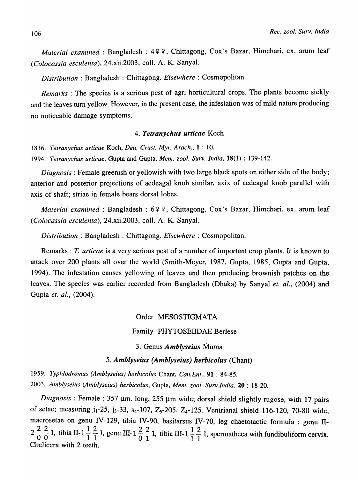*Material examined*: Bangladesh: 4 º º, Chittagong, Cox's Bazar, Himchari, ex. arum leaf *(Colocassia esculenta),* 24.xii.2003, colI. A. K. Sanyal.

*Distribution* : Bangladesh: Chittagong. *Elsewhere* : Cosmopolitan.

*Remarks* : The species is a serious pest of agri-horticultural crops. The plants become sickly and the leaves turn yellow. However, in the present case, the infestation was of mild nature producing no noticeable damage symptoms.

### *4. Tetranychus urticae* Koch

*1836. Tetranychus urticae* Koch, *Deu, Crust. Myr. Arach.,* 1 : 10.

*1994. Tetranychus urticae,* Gupta and Gupta, *Mem. zool. Surv. India,* 18(1) : 139-142.

*Diagnosis:* Female greenish or yellowish with two large black spots on either side of the body; anterior and posterior projections of aedeagal knob similar, axix of aedeagal knob parallel with axis of shaft; striae in female bears dorsal lobes.

*Material examined: Bangladesh: 699, Chittagong, Cox's Bazar, Himchari, ex. arum leaf (Colocassia esculenta),* 24.xii.2003, colI. A. K. Sanyal.

*Distribution* : Bangladesh : Chittagong. *Elsewhere* : Cosmopolitan.

Remarks: T. *urticae* is a very serious pest of a number of important crop plants. It is known to attack over 200 plants all over the world (Smith-Meyer, 1987, Gupta, 1985, Gupta and Gupta, 1994). The infestation causes yellowing of leaves and then producing brownish patches on the leaves. The species was earlier recorded from Bangladesh (Dhaka) by Sanyal *et. ai.,* (2004) and Gupta *et. al., (2004).* 

## Order MESOSTIGMATA

### Family PHYTOSEIIDAE Berlese

#### 3. Genus *Amblyseius* Muma

*5. Amblyseius (Amblyseius) herbicolus* (Chant)

*1959. Typhlodromus (Amh/yseius) herhicolus* Chant, *Can.Ent.,* 91 : 84-85. *2003. Amblyseius (Amblyseius) herbicolus,* Gupta, *Mem. zoo* I. *Surv.lndia,* 20 : 18-20.

Diagnosis : Female : 357 µm. long, 255 µm wide; dorsal shield slightly rugose, with 17 pairs of setae; measuring  $j_1-25$ ,  $j_3-33$ ,  $s_4-107$ ,  $Z_5-205$ ,  $Z_4-125$ . Ventrianal shield 116-120, 70-80 wide, macrosetae on genu IV-129, tibia IV-90, basitarsus IV-70, leg chaetotactic formula : genu IImacrosetae on genu IV-129, tibia IV-90, basitarsus IV-70, leg chaetotactic formula : genu II-<br>2  $\frac{2}{0}$   $\frac{2}{0}$  1, tibia II-1  $\frac{1}{1}$   $\frac{2}{1}$  1, genu III-1  $\frac{2}{0}$   $\frac{2}{1}$  1, tibia III-1  $\frac{1}{1}$   $\frac{2}{1}$  1, Chelicera with 2 teeth.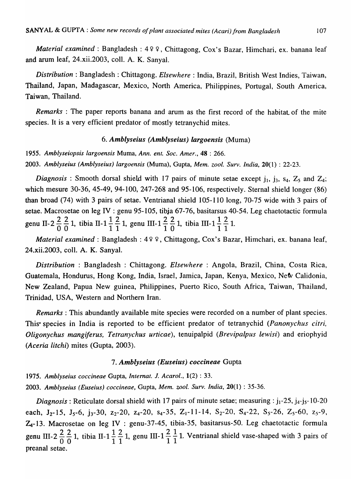*Material examined*: Bangladesh: 499, Chittagong, Cox's Bazar, Himchari, ex. banana leaf and arum leaf, 24.xii.2003, colI. A. K. Sanyal.

*Distribution:* Bangladesh: Chittagong. *Elsewhere:* India, Brazil, British West Indies, Taiwan, Thailand, Japan, Madagascar, Mexico, North America, Philippines, Portugal, South America, Taiwan, Thailand.

*Remarks* : The paper reports banana and arum as the first record of the habitat. of the mite species. It is a very efficient predator of mostly tetranychid mites.

#### *6. Amblyseius (Amblyseius) largoensis* (Muma)

*1955. Amblyseiopsis largoensis* Muma, *Ann. ent. Soc. Amer.,* 48 : 266. *2003. Amblyseius (Amblyseius) largoensis* (Muma), Gupta, *Mem. zool. Surv. India,* 20(1) : 22-23.

*Diagnosis* : Smooth dorsal shield with 17 pairs of minute setae except  $j_1$ ,  $j_3$ ,  $s_4$ ,  $z_5$  and  $z_4$ ; which mesure 30-36, 45-49, 94-100, 247-268 and 95-106, respectively. Sternal shield longer (86) than broad (74) with 3 pairs of setae. Ventrianal shield 10S-II0 long, 70-75 wide with 3 pairs of setae. Macrosetae on leg IV : genu 95-105, tibja 67-76, basitarsus 40-S4. Leg chaetotactic formula genu II-2  $\frac{2}{0} \frac{2}{0}$ 1, tibia II-1  $\frac{1}{1} \frac{2}{1}$ 1, genu III-1  $\frac{2}{1} \frac{2}{0}$ 1, tibia III-1  $\frac{1}{1} \frac{2}{1}$ 1.

*Material examined: Bangladesh: 499, Chittagong, Cox's Bazar, Himchari, ex. banana leaf,* 24.xii.2003, colI. A. K. Sanyal.

*Distribution* : Bangladesh: Chittagong. *Elsewhere* : Angola, Brazil, China, Costa Rica, Guatemala, Hondurus, Hong Kong, India, Israel, Jamica, Japan, Kenya, Mexico, New Calidonia, New Zealand, Papua New guinea, Philippines, Puerto Rico, South Africa, Taiwan, Thailand, Trinidad, USA, Western and Northern Iran.

*Remarks:* This abundantly available mite species were recorded on a number of plant species. This' species in India is reported to be efficient predator of tetranychid *(Panonychus citri, Oligonychus mangiferus, Tetranychus urticae),* tenuipalpid *(Brevipalpus lewisi)* and eriophyid *(Aceria litchi)* mites (Gupta, 2003).

#### *7. Amblyseius (Euseius) coccineae* Gupta

*1975. Amblyseius coccineae* Gupta, *In ternat.* 1. *Acarol.,* 1(2) : 33.

*2003. Amblyseius (Euseius) coccineae,* Gupta, *Mem. zoo/. Surv. India,* 20(1) : 35-36.

*Diagnosis*: Reticulate dorsal shield with 17 pairs of minute setae; measuring:  $j_1$ -25,  $j_4$ - $j_5$ -10-20 each,  $J_2$ -15,  $J_5$ -6,  $j_3$ -30,  $z_2$ -20,  $z_4$ -20,  $s_4$ -35,  $Z_1$ -11-14,  $S_2$ -20,  $S_4$ -22,  $S_5$ -26,  $Z_5$ -60,  $z_5$ -9, Z<sub>4</sub>-13. Macrosetae on leg IV : genu-37-45, tibia-35, basitarsus-50. Leg chaetotactic formula genu III-2  $\frac{2}{0} \frac{2}{0}$  1, tibia II-1  $\frac{1}{1} \frac{2}{1}$  1, genu III-1  $\frac{2}{1} \frac{1}{1}$  1. Ventrianal shield vase-shaped with 3 pairs of preanal setae.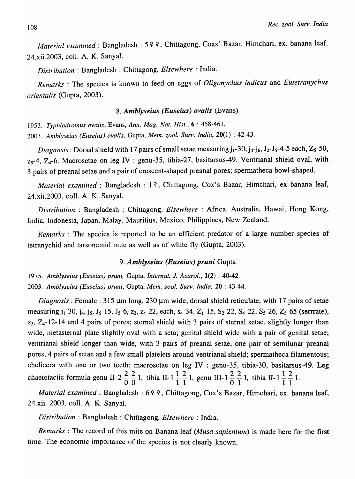*Material examined* : Bangladesh : 5 º º, Chittagong, Coxs' Bazar, Himchari, ex. banana leaf, 24.xii.2003, coIl. A. K. Sanyal.

*Distribution:* Bangladesh: Chittagong. *Elsewhere:* India.

*Renzarks* : The species is known to feed on eggs of *Oligonychus indicus* and *Eutetranychus orientalis* (Gupta, 2003).

#### *8. Amhlyseius (Euseius) ovalis* (Evans)

*1953. Typhlodromus ovalis,* Evans, *Ann. Mag. Nat. Hist.,* 6 : 458-461.

*2003. Alnblyseius (Euseius) o valis* , Gupta, *Mem. zoo!. Surv. India,* 20(1) : 42-43.

*Diagnosis:* Dorsal shield with 17 pairs of small setae measuring  $j_1$ -30,  $j_4$ - $j_6$ ,  $J_2$ - $J_5$ -4-5 each,  $Z_5$ -50,  $z_5$ -4,  $Z_4$ -6. Macrosetae on leg IV : genu-35, tibia-27, basitarsus-49. Ventrianal shield oval, with 3 pairs of preanal setae and a pair of crescent-shaped preanal pores; spermatheca bowl-shaped.

*Material examined: Bangladesh: 19, Chittagong, Cox's Bazar, Himchari, ex banana leaf,* 24.xii.2003, colI. A. K. Sanyal.

*Distribution* : Bangladesh : Chittagong, *Elsewhere* : Africa, Australia, Hawai, Hong Kong, India, Indonesia, Japan, Malay, Mauritius, Mexico, Philippines, New Zealand.

*Remarks* : The species is reported to be an efficient predator of a large number species of tetranychid and tarsonemid mite as well as of white fly (Gupta, 2003).

#### *9. Amhlyseius (Euseius) pruni* Gupta

1975. *Amblyseius (Euseius) pruni,* Gupta, *In terna t.* 1. *Acarol.,* 1(2) : 40-42. *2003. Amblyseius (Euseius) prulli,* Gupta, *Mem. zool. Surv. India,* 20 : 43-44.

*Diagnosis*: Female: 315 µm long, 230 µm wide; dorsal shield reticulate, with 17 pairs of setae measuring j<sub>1</sub>-30, j<sub>4</sub>, j<sub>5</sub>, J<sub>5</sub>-15, J<sub>5</sub>-6, z<sub>2</sub>, z<sub>4</sub>-22, each, s<sub>4</sub>-34, Z<sub>1</sub>-15, S<sub>2</sub>-22, S<sub>4</sub>-22, S<sub>5</sub>-26, Z<sub>5</sub>-65 (serrrate),  $z_5$ ,  $Z_4$ -12-14 and 4 pairs of pores; sternal shield with 3 pairs of sternal setae, slightly longer than wide, metasternal plate slightly oval with a seta; genital shield wide with a pair of genital setae; ventrianal shield longer than wide, with 3 pairs of preanal setae, one pair of semilunar preanal pores, 4 pairs of setae and a few small platelets around ventrianal shield; spermatheca filamentous; chelicera with one or two teeth; macrosetae on leg IV : genu-35, tibia-30, basitarsus-49. Leg chaetotactic formula genu II-2  $\frac{2}{0}$   $\frac{2}{0}$  1, tibia II-1  $\frac{1}{1}$   $\frac{2}{1}$  1, genu III-1  $\frac{2}{0}$   $\frac{2}{1}$  1, tibia II-1  $\frac{1}{1}$   $\frac{2}{1}$  1.

*Material examined*: Bangladesh: 699, Chittagong, Cox's Bazar, Himchari, ex. banana leaf, 24.xii. 2003. colI. A. K. Sanyal.

*Distribution* : Bangladesh: Chittagong. *Elsewhere* : India.

*Remarks:* The record of this mite on Banana leaf *(Musa sapientum)* is made here for the first time. The economic importance of the species is not clearly known.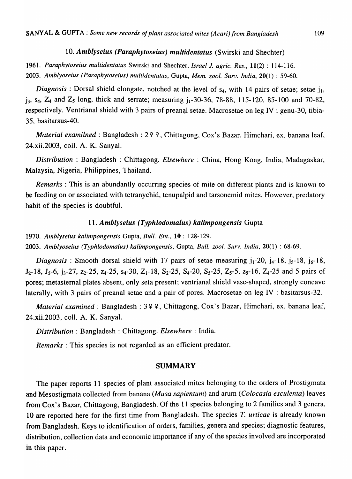# *10. Amblyseius (Paraphytoseius) multidentatus* (Swirski and Shechter)

*1961. Paraphytoseius multidentatus* Swirski and Shechter, *Israel* J. *agric. Res.,* 11(2) : 114-116. *2003. Amblyoseius (Paraphytoseius) multidentatus,* Gupta, *Mem. zool. Surv. India,* 20(1) : 59-60.

*Diagnosis* : Dorsal shield elongate, notched at the level of  $s_4$ , with 14 pairs of setae; setae  $i_1$ ,  $j_3$ ,  $s_4$ ,  $Z_4$  and  $Z_5$  long, thick and serrate; measuring  $j_1$ -30-36, 78-88, 115-120, 85-100 and 70-82, respectively. Ventrianal shield with 3 pairs of preanal setae. Macrosetae on leg IV : genu-30, tibia-35, basitarsus-40.

*Material examilned* : Bangladesh : 2 º º, Chittagong, Cox's Bazar, Himchari, ex. banana leaf, 24.xii.2003, colI. A. K. Sanyal.

*Distribution* : Bangladesh : Chittagong. *Elsewhere* : China, Hong Kong, India, Madagaskar, Malaysia, Nigeria, Philippines, Thailand.

*Remarks:* This is an abundantly occurring species of mite on different plants and is known to be feeding on or associated with tetranychid, tenupalpid and tarsonemid mites. However, predatory habit of the species is doubtful.

### *11. Amblyseius (Typhlodomalus) kalimpongensis* Gupta

*1970. Amblyseius kalimpongensis* Gupta, *Bull. Ent.,* 10 : 128-129.

*2003. Amblyoseius (Typhlodomalus) kalimpongensis,* Gupta, *Bull. zool. Surv. India,* 20(1) : 68-69.

*Diagnosis*: Smooth dorsal shield with 17 pairs of setae measuring  $j_1$ -20,  $j_4$ -18,  $j_5$ -18,  $j_6$ -18,  $J_2$ -18,  $J_5$ -6,  $j_3$ -27,  $z_2$ -25,  $z_4$ -25,  $s_4$ -30,  $Z_1$ -18,  $S_2$ -25,  $S_4$ -20,  $S_5$ -25,  $Z_5$ -5,  $z_5$ -16,  $Z_4$ -25 and 5 pairs of pores; metasternal plates absent, only seta present; ventrianal shield vase-shaped, strongly concave laterally, with 3 pairs of preanal setae and a pair of pores. Macrosetae on leg IV : basitarsus-32.

*Material examined: Bangladesh: 3 º º, Chittagong, Cox's Bazar, Himchari, ex. banana leaf,* 24.xii.2003, colI. A. K. Sanyal.

*Distribution* : Bangladesh: Chittagong. *Elsewhere* : India.

*Remarks:* This species is not regarded as an efficient predator.

#### SUMMARY

The paper reports 11 species of plant associated mites belonging to the orders of Prostigmata and Mesostigmata collected from banana *(Musa sapientum)* and arum *(Colocasia esculenta)* leaves from Cox's Bazar, Chittagong, Bangladesh. Of the 11 species belonging to 2 families and 3 genera, 10 are reported here for the first time from Bangladesh. The species *T. urticae* is already known from Bangladesh. Keys to identification of orders, families, genera and species; diagnostic features, distribution, collection data and economic importance if any of the species involved are incorporated in this paper.